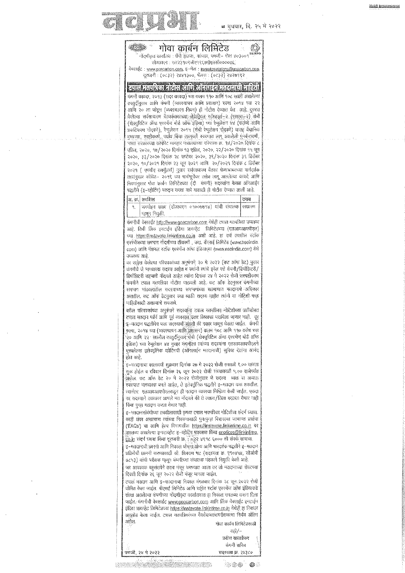

|                          | सारी / --        |
|--------------------------|------------------|
|                          | प्रदीण साताडक    |
|                          | कंपनी सचिव       |
| - 31<br>पणजी, २४ मे २०२२ | सटस्यता क्र. २४३ |
|                          |                  |

 $\otimes \otimes \otimes$ ● 像